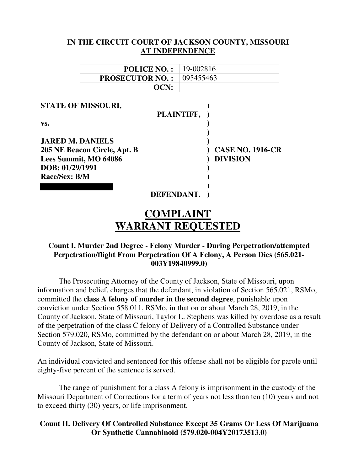| IN THE CIRCUIT COURT OF JACKSON COUNTY, MISSOURI |                         |
|--------------------------------------------------|-------------------------|
|                                                  | AT INDEPENDENCE         |
| <b>POLICE NO.:</b>                               | 19-002816               |
| <b>PROSECUTOR NO.:</b>                           | 095455463               |
| OCN:                                             |                         |
|                                                  |                         |
| <b>STATE OF MISSOURI,</b>                        | PLAINTIFF,              |
| VS.                                              |                         |
|                                                  |                         |
| <b>JARED M. DANIELS</b>                          |                         |
| 205 NE Beacon Circle, Apt. B                     | <b>CASE NO. 1916-CR</b> |
| Lees Summit, MO 64086                            | <b>DIVISION</b>         |
| DOB: 01/29/1991                                  |                         |
| Race/Sex: B/M                                    |                         |
|                                                  |                         |
| DEFENDANT.                                       |                         |
|                                                  | COMPLAINT               |

# **WARRANT REQUESTED**

#### **Count I. Murder 2nd Degree - Felony Murder - During Perpetration/attempted Perpetration/flight From Perpetration Of A Felony, A Person Dies (565.021- 003Y19840999.0)**

The Prosecuting Attorney of the County of Jackson, State of Missouri, upon information and belief, charges that the defendant, in violation of Section 565.021, RSMo, committed the **class A felony of murder in the second degree**, punishable upon conviction under Section 558.011, RSMo, in that on or about March 28, 2019, in the County of Jackson, State of Missouri, Taylor L. Stephens was killed by overdose as a result of the perpetration of the class C felony of Delivery of a Controlled Substance under Section 579.020, RSMo, committed by the defendant on or about March 28, 2019, in the County of Jackson, State of Missouri.

An individual convicted and sentenced for this offense shall not be eligible for parole until eighty-five percent of the sentence is served.

The range of punishment for a class A felony is imprisonment in the custody of the Missouri Department of Corrections for a term of years not less than ten (10) years and not to exceed thirty (30) years, or life imprisonment.

### **Count II. Delivery Of Controlled Substance Except 35 Grams Or Less Of Marijuana Or Synthetic Cannabinoid (579.020-004Y20173513.0)**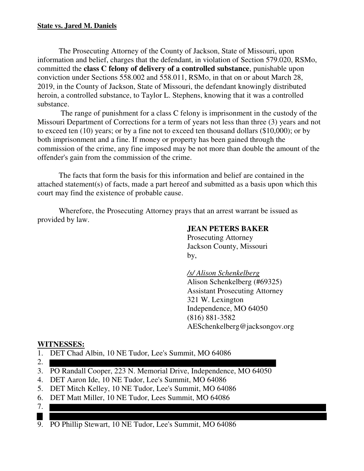#### **State vs. Jared M. Daniels**

The Prosecuting Attorney of the County of Jackson, State of Missouri, upon information and belief, charges that the defendant, in violation of Section 579.020, RSMo, committed the **class C felony of delivery of a controlled substance**, punishable upon conviction under Sections 558.002 and 558.011, RSMo, in that on or about March 28, 2019, in the County of Jackson, State of Missouri, the defendant knowingly distributed heroin, a controlled substance, to Taylor L. Stephens, knowing that it was a controlled substance.

 The range of punishment for a class C felony is imprisonment in the custody of the Missouri Department of Corrections for a term of years not less than three (3) years and not to exceed ten (10) years; or by a fine not to exceed ten thousand dollars (\$10,000); or by both imprisonment and a fine. If money or property has been gained through the commission of the crime, any fine imposed may be not more than double the amount of the offender's gain from the commission of the crime.

The facts that form the basis for this information and belief are contained in the attached statement(s) of facts, made a part hereof and submitted as a basis upon which this court may find the existence of probable cause.

Wherefore, the Prosecuting Attorney prays that an arrest warrant be issued as provided by law.

### **JEAN PETERS BAKER**

 Prosecuting Attorney Jackson County, Missouri by,

#### */s/ Alison Schenkelberg*

 Alison Schenkelberg (#69325) Assistant Prosecuting Attorney 321 W. Lexington Independence, MO 64050 (816) 881-3582 AESchenkelberg@jacksongov.org

#### **WITNESSES:**

- 1. DET Chad Albin, 10 NE Tudor, Lee's Summit, MO 64086
- 2.
- 3. PO Randall Cooper, 223 N. Memorial Drive, Independence, MO 64050
- 4. DET Aaron Ide, 10 NE Tudor, Lee's Summit, MO 64086
- 5. DET Mitch Kelley, 10 NE Tudor, Lee's Summit, MO 64086
- 6. DET Matt Miller, 10 NE Tudor, Lees Summit, MO 64086
- 7.
- H 9. PO Phillip Stewart, 10 NE Tudor, Lee's Summit, MO 64086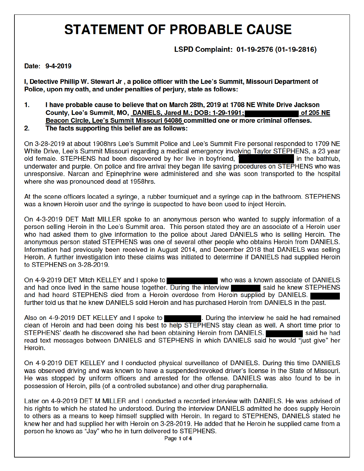LSPD Complaint: 01-19-2576 (01-19-2816)

#### Date: 9-4-2019

I, Detective Phillip W. Stewart Jr, a police officer with the Lee's Summit, Missouri Department of Police, upon my oath, and under penalties of perjury, state as follows:

- 1. I have probable cause to believe that on March 28th, 2019 at 1708 NE White Drive Jackson County, Lee's Summit, MO, DANIELS, Jared M.; DOB: 1-29-1991; of 205 NE Beacon Circle, Lee's Summit Missouri 64086 committed one or more criminal offenses.
- $2.$ The facts supporting this belief are as follows:

On 3-28-2019 at about 1908hrs Lee's Summit Police and Lee's Summit Fire personal responded to 1709 NE White Drive, Lee's Summit Missouri regarding a medical emergency involving Taylor STEPHENS, a 23 year old female. STEPHENS had been discovered by her live in boyfriend, 1 in the bathtub. underwater and purple. On police and fire arrival they began life saving procedures on STEPHENS who was unresponsive. Narcan and Epinephrine were administered and she was soon transported to the hospital where she was pronounced dead at 1958hrs.

At the scene officers located a syringe, a rubber tourniquet and a syringe cap in the bathroom. STEPHENS was a known Heroin user and the syringe is suspected to have been used to inject Heroin.

On 4-3-2019 DET Matt MILLER spoke to an anonymous person who wanted to supply information of a person selling Heroin in the Lee's Summit area. This person stated they are an associate of a Heroin user who had asked them to give information to the police about Jared DANIELS who is selling Heroin. The anonymous person stated STEPHENS was one of several other people who obtains Heroin from DANIELS. Information had previously been received in August 2014, and December 2018 that DANIELS was selling Heroin. A further investigation into these claims was initiated to determine if DANIELS had supplied Heroin to STEPHENS on 3-28-2019.

On 4-9-2019 DET Mitch KELLEY and I spoke to who was a known associate of DANIELS and had once lived in the same house together. During the interview said he knew STEPHENS and had heard STEPHENS died from a Heroin overdose from Heroin supplied by DANIELS. further told us that he knew DANIELS sold Heroin and has purchased Heroin from DANIELS in the past.

Also on 4-9-2019 DET KELLEY and I spoke to . During the interview he said he had remained clean of Heroin and had been doing his best to help STEPHENS stay clean as well. A short time prior to STEPHENS' death he discovered she had been obtaining Heroin from DANIELS. said he had read text messages between DANIELS and STEPHENS in which DANIELS said he would "just give" her Heroin.

On 4-9-2019 DET KELLEY and I conducted physical surveillance of DANIELS. During this time DANIELS was observed driving and was known to have a suspended/revoked driver's license in the State of Missouri. He was stopped by uniform officers and arrested for the offense. DANIELS was also found to be in possession of Heroin, pills (of a controlled substance) and other drug paraphernalia.

Later on 4-9-2019 DET M MILLER and I conducted a recorded interview with DANIELS. He was advised of his rights to which he stated he understood. During the interview DANIELS admitted he does supply Heroin to others as a means to keep himself supplied with Heroin. In regard to STEPHENS, DANIELS stated he knew her and had supplied her with Heroin on 3-28-2019. He added that he Heroin he supplied came from a person he knows as "Jay" who he in turn delivered to STEPHENS.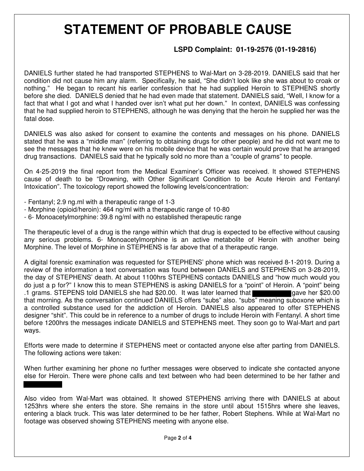## **LSPD Complaint: 01-19-2576 (01-19-2816)**

DANIELS further stated he had transported STEPHENS to Wal-Mart on 3-28-2019. DANIELS said that her condition did not cause him any alarm. Specifically, he said, "She didn't look like she was about to croak or nothing." He began to recant his earlier confession that he had supplied Heroin to STEPHENS shortly before she died. DANIELS denied that he had even made that statement. DANIELS said, "Well, I know for a fact that what I got and what I handed over isn't what put her down." In context, DANIELS was confessing that he had supplied heroin to STEPHENS, although he was denying that the heroin he supplied her was the fatal dose.

DANIELS was also asked for consent to examine the contents and messages on his phone. DANIELS stated that he was a "middle man" (referring to obtaining drugs for other people) and he did not want me to see the messages that he knew were on his mobile device that he was certain would prove that he arranged drug transactions. DANIELS said that he typically sold no more than a "couple of grams" to people.

On 4-25-2019 the final report from the Medical Examiner's Officer was received. It showed STEPHENS cause of death to be "Drowning, with Other Significant Condition to be Acute Heroin and Fentanyl Intoxication". The toxicology report showed the following levels/concentration:

- Fentanyl; 2.9 ng.ml with a therapeutic range of 1-3
- Morphine (opioid/heroin): 464 ng/ml with a therapeutic range of 10-80
- 6- Monoacetylmorphine: 39.8 ng/ml with no established therapeutic range

The therapeutic level of a drug is the range within which that drug is expected to be effective without causing any serious problems. 6- Monoacetylmorphine is an active metabolite of Heroin with another being Morphine. The level of Morphine in STEPHENS is far above that of a therapeutic range.

A digital forensic examination was requested for STEPHENS' phone which was received 8-1-2019. During a review of the information a text conversation was found between DANIELS and STEPHENS on 3-28-2019, the day of STEPHENS' death. At about 1100hrs STEPHENS contacts DANIELS and "how much would you do just a p for?" I know this to mean STEPHENS is asking DANIELS for a "point" of Heroin. A "point" being .1 grams. STEPENS told DANIELS she had \$20.00. It was later learned that gave her \$20.00 that morning. As the conversation continued DANIELS offers "subs" also. "subs" meaning suboxone which is a controlled substance used for the addiction of Heroin. DANIELS also appeared to offer STEPHENS designer "shit". This could be in reference to a number of drugs to include Heroin with Fentanyl. A short time before 1200hrs the messages indicate DANIELS and STEPHENS meet. They soon go to Wal-Mart and part ways.

Efforts were made to determine if STEPHENS meet or contacted anyone else after parting from DANIELS. The following actions were taken:

When further examining her phone no further messages were observed to indicate she contacted anyone else for Heroin. There were phone calls and text between who had been determined to be her father and

Also video from Wal-Mart was obtained. It showed STEPHENS arriving there with DANIELS at about 1253hrs where she enters the store. She remains in the store until about 1515hrs where she leaves, entering a black truck. This was later determined to be her father, Robert Stephens. While at Wal-Mart no footage was observed showing STEPHENS meeting with anyone else.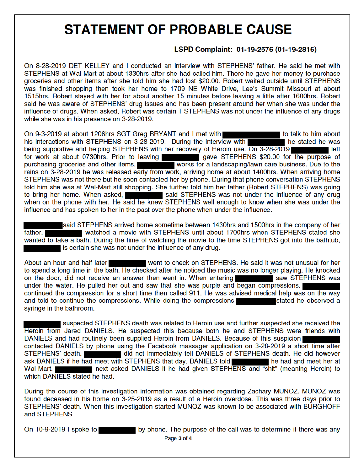### LSPD Complaint: 01-19-2576 (01-19-2816)

On 8-28-2019 DET KELLEY and I conducted an interview with STEPHENS' father. He said he met with STEPHENS at Wal-Mart at about 1330hrs after she had called him. There he gave her money to purchase groceries and other items after she told him she had lost \$20.00. Robert waited outside until STEPHENS was finished shopping then took her home to 1709 NE White Drive, Lee's Summit Missouri at about 1515hrs. Robert stayed with her for about another 15 minutes before leaving a little after 1600hrs. Robert said he was aware of STEPHENS' drug issues and has been present around her when she was under the influence of drugs. When asked, Robert was certain T STEPHENS was not under the influence of any drugs while she was in his presence on 3-28-2019.

On 9-3-2019 at about 1206hrs SGT Greg BRYANT and I met with to talk to him about his interactions with STEPHENS on 3-28-2019. During the interview with he stated he was being supportive and helping STEPHENS with her recovery of Heroin use. On 3-28-2019 ∎left for work at about 0730hrs. Prior to leaving gave STEPHENS \$20.00 for the purpose of purchasing groceries and other items. works for a landscaping/lawn care business. Due to the rains on 3-28-2019 he was released early from work, arriving home at about 1400hrs. When arriving home STEPHENS was not there but he soon contacted her by phone. During that phone conversation STEPHENS told him she was at Wal-Mart still shopping. She further told him her father (Robert STEPHENS) was going said STEPHENS was not under the influence of any drug to bring her home. When asked, when on the phone with her. He said he knew STEPHENS well enough to know when she was under the influence and has spoken to her in the past over the phone when under the influence.

said STEPHENS arrived home sometime between 1430hrs and 1500hrs in the company of her watched a movie with STEPHENS until about 1700hrs when STEPHENS stated she father. wanted to take a bath. During the time of watching the movie to the time STEPHENS got into the bathtub. is certain she was not under the influence of any drug.

About an hour and half later went to check on STEPHENS. He said it was not unusual for her to spend a long time in the bath. He checked after he noticed the music was no longer playing. He knocked on the door, did not receive an answer then went in. When entering saw STEPHENS was under the water. He pulled her out and saw that she was purple and began compressions. continued the compression for a short time then called 911. He was advised medical help was on the way and told to continue the compressions. While doing the compressions stated he observed a syringe in the bathroom.

suspected STEPHENS death was related to Heroin use and further suspected she received the Heroin from Jared DANIELS. He suspected this because both he and STEPHENS were friends with DANIELS and had routinely been supplied Heroin from DANIELS. Because of this suspicion contacted DANIELS by phone using the Facebook massager application on 3-28-2019 a short time after STEPHENS' death. did not immediately tell DANIELS of STEPHENS death. He did however ask DANIELS if he had meet with STEPHENS that day. DANIELS told he had and meet her at next asked DANIELS if he had given STEPHENS and "shit" (meaning Heroin) to Wal-Mart. which DANIELS stated he had.

During the course of this investigation information was obtained regarding Zachary MUNOZ. MUNOZ was found deceased in his home on 3-25-2019 as a result of a Heroin overdose. This was three days prior to STEPHENS' death. When this investigation started MUNOZ was known to be associated with BURGHOFF and STEPHENS

On 10-9-2019 I spoke to

by phone. The purpose of the call was to determine if there was any Page 3 of 4